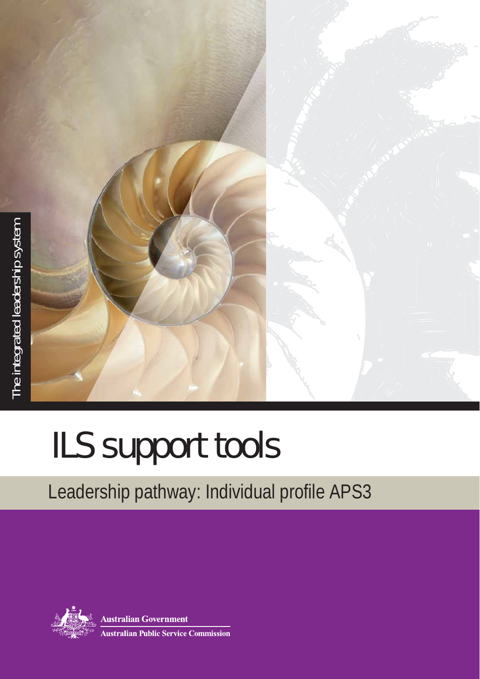

## ILS support tools

## Leadership pathway: Individual profile APS3



**Australian Government Australian Public Service Commission**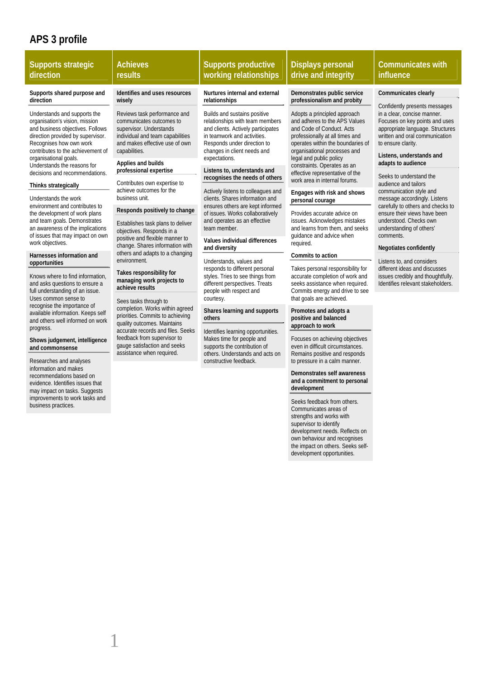## **APS 3 profile**

| <b>Supports strategic</b><br>direction                                                                                                                                                                                                                                                                                                                                                                                                                                                                                                                                                                                                                                                                                                                                                                                                                                                                                                               | <b>Achieves</b><br>results                                                                                                                                                                                                                                                                                                                                                                                                                                                                                                                                                                                                                                                                                                                                                                                                                                                                     | <b>Supports productive</b><br>working relationships                                                                                                                                                                                                                                                                                                                                                                                                                                                                                                                                                                                                                                                                                                                                                                                                                                                                | <b>Displays personal</b><br>drive and integrity                                                                                                                                                                                                                                                                                                                                                                                                                                                                                                                                                                                                                                                                                                                                                                                                                                                                                           | <b>Communicates with</b><br>influence                                                                                                                                                                                                                                                                                                                                                                                                                                                                                                                                                                                                                                                        |
|------------------------------------------------------------------------------------------------------------------------------------------------------------------------------------------------------------------------------------------------------------------------------------------------------------------------------------------------------------------------------------------------------------------------------------------------------------------------------------------------------------------------------------------------------------------------------------------------------------------------------------------------------------------------------------------------------------------------------------------------------------------------------------------------------------------------------------------------------------------------------------------------------------------------------------------------------|------------------------------------------------------------------------------------------------------------------------------------------------------------------------------------------------------------------------------------------------------------------------------------------------------------------------------------------------------------------------------------------------------------------------------------------------------------------------------------------------------------------------------------------------------------------------------------------------------------------------------------------------------------------------------------------------------------------------------------------------------------------------------------------------------------------------------------------------------------------------------------------------|--------------------------------------------------------------------------------------------------------------------------------------------------------------------------------------------------------------------------------------------------------------------------------------------------------------------------------------------------------------------------------------------------------------------------------------------------------------------------------------------------------------------------------------------------------------------------------------------------------------------------------------------------------------------------------------------------------------------------------------------------------------------------------------------------------------------------------------------------------------------------------------------------------------------|-------------------------------------------------------------------------------------------------------------------------------------------------------------------------------------------------------------------------------------------------------------------------------------------------------------------------------------------------------------------------------------------------------------------------------------------------------------------------------------------------------------------------------------------------------------------------------------------------------------------------------------------------------------------------------------------------------------------------------------------------------------------------------------------------------------------------------------------------------------------------------------------------------------------------------------------|----------------------------------------------------------------------------------------------------------------------------------------------------------------------------------------------------------------------------------------------------------------------------------------------------------------------------------------------------------------------------------------------------------------------------------------------------------------------------------------------------------------------------------------------------------------------------------------------------------------------------------------------------------------------------------------------|
| Supports shared purpose and<br>direction<br>Understands and supports the<br>organisation's vision, mission<br>and business objectives. Follows<br>direction provided by supervisor.<br>Recognises how own work<br>contributes to the achievement of<br>organisational goals.<br>Understands the reasons for<br>decisions and recommendations.<br>Thinks strategically<br>Understands the work<br>environment and contributes to<br>the development of work plans<br>and team goals. Demonstrates<br>an awareness of the implications<br>of issues that may impact on own<br>work objectives.<br>Harnesses information and<br>opportunities<br>Knows where to find information,<br>and asks questions to ensure a<br>full understanding of an issue.<br>Uses common sense to<br>recognise the importance of<br>available information. Keeps self<br>and others well informed on work<br>progress.<br>Shows judgement, intelligence<br>and commonsense | Identifies and uses resources<br>wisely<br>Reviews task performance and<br>communicates outcomes to<br>supervisor. Understands<br>individual and team capabilities<br>and makes effective use of own<br>capabilities.<br>Applies and builds<br>professional expertise<br>Contributes own expertise to<br>achieve outcomes for the<br>business unit.<br>Responds positively to change<br>Establishes task plans to deliver<br>objectives. Responds in a<br>positive and flexible manner to<br>change. Shares information with<br>others and adapts to a changing<br>environment.<br>Takes responsibility for<br>managing work projects to<br>achieve results<br>Sees tasks through to<br>completion. Works within agreed<br>priorities. Commits to achieving<br>quality outcomes. Maintains<br>accurate records and files. Seeks<br>feedback from supervisor to<br>gauge satisfaction and seeks | Nurtures internal and external<br>relationships<br>Builds and sustains positive<br>relationships with team members<br>and clients. Actively participates<br>in teamwork and activities.<br>Responds under direction to<br>changes in client needs and<br>expectations.<br>Listens to, understands and<br>recognises the needs of others<br>Actively listens to colleagues and<br>clients. Shares information and<br>ensures others are kept informed<br>of issues. Works collaboratively<br>and operates as an effective<br>team member.<br>Values individual differences<br>and diversity<br>Understands, values and<br>responds to different personal<br>styles. Tries to see things from<br>different perspectives. Treats<br>people with respect and<br>courtesy.<br>Shares learning and supports<br>others<br>Identifies learning opportunities.<br>Makes time for people and<br>supports the contribution of | Demonstrates public service<br>professionalism and probity<br>Adopts a principled approach<br>and adheres to the APS Values<br>and Code of Conduct. Acts<br>professionally at all times and<br>operates within the boundaries of<br>organisational processes and<br>legal and public policy<br>constraints. Operates as an<br>effective representative of the<br>work area in internal forums.<br>Engages with risk and shows<br>personal courage<br>Provides accurate advice on<br>issues. Acknowledges mistakes<br>and learns from them, and seeks<br>quidance and advice when<br>required.<br>Commits to action<br>Takes personal responsibility for<br>accurate completion of work and<br>seeks assistance when required.<br>Commits energy and drive to see<br>that goals are achieved.<br>Promotes and adopts a<br>positive and balanced<br>approach to work<br>Focuses on achieving objectives<br>even in difficult circumstances. | Communicates clearly<br>Confidently presents messages<br>in a clear, concise manner.<br>Focuses on key points and uses<br>appropriate language. Structures<br>written and oral communication<br>to ensure clarity.<br>Listens, understands and<br>adapts to audience<br>Seeks to understand the<br>audience and tailors<br>communication style and<br>message accordingly. Listens<br>carefully to others and checks to<br>ensure their views have been<br>understood. Checks own<br>understanding of others'<br>comments.<br>Negotiates confidently<br>Listens to, and considers<br>different ideas and discusses<br>issues credibly and thoughtfully.<br>Identifies relevant stakeholders. |
| Researches and analyses<br>information and makes<br>recommendations based on<br>evidence. Identifies issues that<br>may impact on tasks. Suggests<br>improvements to work tasks and<br>business practices.                                                                                                                                                                                                                                                                                                                                                                                                                                                                                                                                                                                                                                                                                                                                           | assistance when required.                                                                                                                                                                                                                                                                                                                                                                                                                                                                                                                                                                                                                                                                                                                                                                                                                                                                      | others. Understands and acts on<br>constructive feedback.                                                                                                                                                                                                                                                                                                                                                                                                                                                                                                                                                                                                                                                                                                                                                                                                                                                          | Remains positive and responds<br>to pressure in a calm manner.<br>Demonstrates self awareness<br>and a commitment to personal<br>development<br>Seeks feedback from others.<br>Communicates areas of<br>strengths and works with<br>supervisor to identify<br>development needs. Reflects on                                                                                                                                                                                                                                                                                                                                                                                                                                                                                                                                                                                                                                              |                                                                                                                                                                                                                                                                                                                                                                                                                                                                                                                                                                                                                                                                                              |

own behaviour and recognises the impact on others. Seeks selfdevelopment opportunities.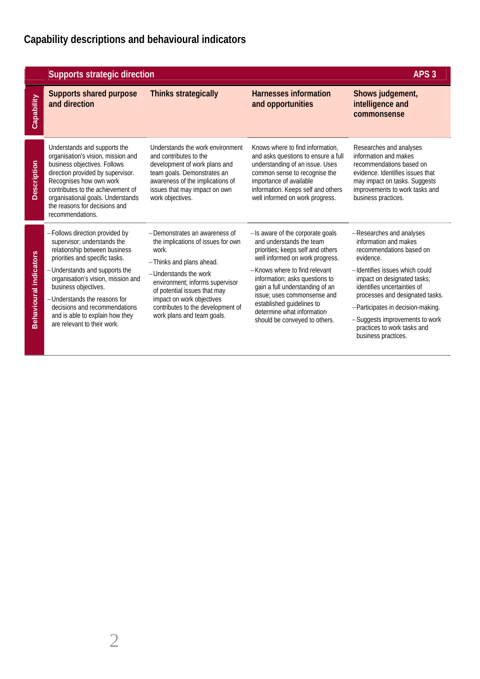|                               | <b>Supports strategic direction</b>                                                                                                                                                                                                                                                                                                                                | APS <sub>3</sub>                                                                                                                                                                                                                                                                                     |                                                                                                                                                                                                                                                                                                                                                                       |                                                                                                                                                                                                                                                                                                                                                            |
|-------------------------------|--------------------------------------------------------------------------------------------------------------------------------------------------------------------------------------------------------------------------------------------------------------------------------------------------------------------------------------------------------------------|------------------------------------------------------------------------------------------------------------------------------------------------------------------------------------------------------------------------------------------------------------------------------------------------------|-----------------------------------------------------------------------------------------------------------------------------------------------------------------------------------------------------------------------------------------------------------------------------------------------------------------------------------------------------------------------|------------------------------------------------------------------------------------------------------------------------------------------------------------------------------------------------------------------------------------------------------------------------------------------------------------------------------------------------------------|
| Capability                    | <b>Supports shared purpose</b><br>and direction                                                                                                                                                                                                                                                                                                                    | <b>Thinks strategically</b>                                                                                                                                                                                                                                                                          | Harnesses information<br>and opportunities                                                                                                                                                                                                                                                                                                                            | Shows judgement,<br>intelligence and<br>commonsense                                                                                                                                                                                                                                                                                                        |
| <b>Description</b>            | Understands and supports the<br>organisation's vision, mission and<br>business objectives. Follows<br>direction provided by supervisor.<br>Recognises how own work<br>contributes to the achievement of<br>organisational goals. Understands<br>the reasons for decisions and<br>recommendations.                                                                  | Understands the work environment<br>and contributes to the<br>development of work plans and<br>team goals. Demonstrates an<br>awareness of the implications of<br>issues that may impact on own<br>work objectives.                                                                                  | Knows where to find information.<br>and asks questions to ensure a full<br>understanding of an issue. Uses<br>common sense to recognise the<br>importance of available<br>information. Keeps self and others<br>well informed on work progress.                                                                                                                       | Researches and analyses<br>information and makes<br>recommendations based on<br>evidence. Identifies issues that<br>may impact on tasks. Suggests<br>improvements to work tasks and<br>business practices.                                                                                                                                                 |
| <b>Behavioural indicators</b> | -Follows direction provided by<br>supervisor; understands the<br>relationship between business<br>priorities and specific tasks.<br>-Understands and supports the<br>organisation's vision, mission and<br>business objectives.<br>-Understands the reasons for<br>decisions and recommendations<br>and is able to explain how they<br>are relevant to their work. | -Demonstrates an awareness of<br>the implications of issues for own<br>work.<br>-Thinks and plans ahead.<br>-Understands the work<br>environment; informs supervisor<br>of potential issues that may<br>impact on work objectives<br>contributes to the development of<br>work plans and team goals. | -Is aware of the corporate goals<br>and understands the team<br>priorities; keeps self and others<br>well informed on work progress.<br>-Knows where to find relevant<br>information; asks questions to<br>gain a full understanding of an<br>issue: uses commonsense and<br>established guidelines to<br>determine what information<br>should be conveyed to others. | -Researches and analyses<br>information and makes<br>recommendations based on<br>evidence.<br>-Identifies issues which could<br>impact on designated tasks;<br>identifies uncertainties of<br>processes and designated tasks.<br>-Participates in decision-making.<br>-Suggests improvements to work<br>practices to work tasks and<br>business practices. |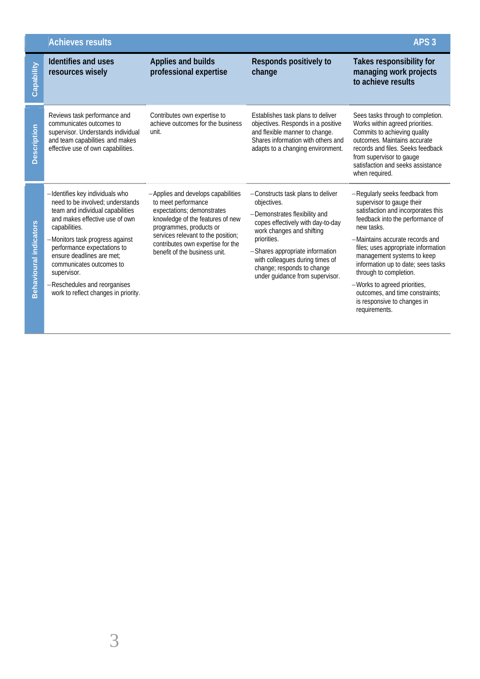|                               | <b>Achieves results</b>                                                                                                                                                                                                                                                                                                                                                      |                                                                                                                                                                                                                                                                    | APS <sub>3</sub>                                                                                                                                                                                                                                                                                          |                                                                                                                                                                                                                                                                                                                                                                                                                                                |
|-------------------------------|------------------------------------------------------------------------------------------------------------------------------------------------------------------------------------------------------------------------------------------------------------------------------------------------------------------------------------------------------------------------------|--------------------------------------------------------------------------------------------------------------------------------------------------------------------------------------------------------------------------------------------------------------------|-----------------------------------------------------------------------------------------------------------------------------------------------------------------------------------------------------------------------------------------------------------------------------------------------------------|------------------------------------------------------------------------------------------------------------------------------------------------------------------------------------------------------------------------------------------------------------------------------------------------------------------------------------------------------------------------------------------------------------------------------------------------|
| Capability                    | <b>Identifies and uses</b><br>resources wisely                                                                                                                                                                                                                                                                                                                               | Applies and builds<br>professional expertise                                                                                                                                                                                                                       | Responds positively to<br>change                                                                                                                                                                                                                                                                          | Takes responsibility for<br>managing work projects<br>to achieve results                                                                                                                                                                                                                                                                                                                                                                       |
| Description                   | Reviews task performance and<br>communicates outcomes to<br>supervisor. Understands individual<br>and team capabilities and makes<br>effective use of own capabilities.                                                                                                                                                                                                      | Contributes own expertise to<br>achieve outcomes for the business<br>unit.                                                                                                                                                                                         | Establishes task plans to deliver<br>objectives. Responds in a positive<br>and flexible manner to change.<br>Shares information with others and<br>adapts to a changing environment.                                                                                                                      | Sees tasks through to completion.<br>Works within agreed priorities.<br>Commits to achieving quality<br>outcomes. Maintains accurate<br>records and files. Seeks feedback<br>from supervisor to gauge<br>satisfaction and seeks assistance<br>when required.                                                                                                                                                                                   |
| <b>Behavioural indicators</b> | -Identifies key individuals who<br>need to be involved: understands<br>team and individual capabilities<br>and makes effective use of own<br>capabilities.<br>-Monitors task progress against<br>performance expectations to<br>ensure deadlines are met;<br>communicates outcomes to<br>supervisor.<br>-Reschedules and reorganises<br>work to reflect changes in priority. | -Applies and develops capabilities<br>to meet performance<br>expectations; demonstrates<br>knowledge of the features of new<br>programmes, products or<br>services relevant to the position;<br>contributes own expertise for the<br>benefit of the business unit. | -Constructs task plans to deliver<br>objectives.<br>-Demonstrates flexibility and<br>copes effectively with day-to-day<br>work changes and shifting<br>priorities.<br>-Shares appropriate information<br>with colleagues during times of<br>change; responds to change<br>under guidance from supervisor. | -Regularly seeks feedback from<br>supervisor to gauge their<br>satisfaction and incorporates this<br>feedback into the performance of<br>new tasks.<br>-Maintains accurate records and<br>files; uses appropriate information<br>management systems to keep<br>information up to date; sees tasks<br>through to completion.<br>-Works to agreed priorities,<br>outcomes, and time constraints:<br>is responsive to changes in<br>requirements. |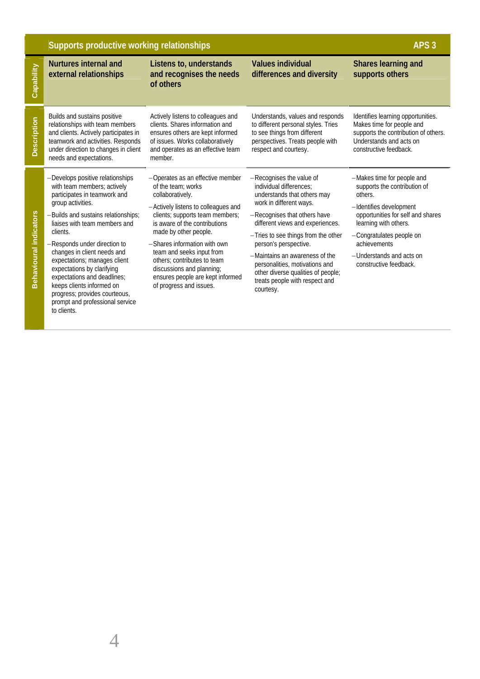|                               | Supports productive working relationships                                                                                                                                                                                                                                                                                                                                                                                                                                            | APS <sub>3</sub>                                                                                                                                                                                                                                                                                                                                                                                       |                                                                                                                                                                                                                                                                                                                                                                                                            |                                                                                                                                                                                                                                                                  |
|-------------------------------|--------------------------------------------------------------------------------------------------------------------------------------------------------------------------------------------------------------------------------------------------------------------------------------------------------------------------------------------------------------------------------------------------------------------------------------------------------------------------------------|--------------------------------------------------------------------------------------------------------------------------------------------------------------------------------------------------------------------------------------------------------------------------------------------------------------------------------------------------------------------------------------------------------|------------------------------------------------------------------------------------------------------------------------------------------------------------------------------------------------------------------------------------------------------------------------------------------------------------------------------------------------------------------------------------------------------------|------------------------------------------------------------------------------------------------------------------------------------------------------------------------------------------------------------------------------------------------------------------|
| Capability                    | <b>Nurtures internal and</b><br>external relationships                                                                                                                                                                                                                                                                                                                                                                                                                               | Listens to, understands<br>and recognises the needs<br>of others                                                                                                                                                                                                                                                                                                                                       | <b>Values individual</b><br>differences and diversity                                                                                                                                                                                                                                                                                                                                                      | Shares learning and<br>supports others                                                                                                                                                                                                                           |
| <b>Description</b>            | Builds and sustains positive<br>relationships with team members<br>and clients. Actively participates in<br>teamwork and activities. Responds<br>under direction to changes in client<br>needs and expectations.                                                                                                                                                                                                                                                                     | Actively listens to colleagues and<br>clients. Shares information and<br>ensures others are kept informed<br>of issues. Works collaboratively<br>and operates as an effective team<br>member.                                                                                                                                                                                                          | Understands, values and responds<br>to different personal styles. Tries<br>to see things from different<br>perspectives. Treats people with<br>respect and courtesy.                                                                                                                                                                                                                                       | Identifies learning opportunities.<br>Makes time for people and<br>supports the contribution of others.<br>Understands and acts on<br>constructive feedback.                                                                                                     |
| <b>Behavioural indicators</b> | -Develops positive relationships<br>with team members; actively<br>participates in teamwork and<br>group activities.<br>-Builds and sustains relationships;<br>liaises with team members and<br>clients.<br>-Responds under direction to<br>changes in client needs and<br>expectations; manages client<br>expectations by clarifying<br>expectations and deadlines;<br>keeps clients informed on<br>progress; provides courteous,<br>prompt and professional service<br>to clients. | -Operates as an effective member<br>of the team: works<br>collaboratively.<br>-Actively listens to colleagues and<br>clients; supports team members;<br>is aware of the contributions<br>made by other people.<br>-Shares information with own<br>team and seeks input from<br>others; contributes to team<br>discussions and planning;<br>ensures people are kept informed<br>of progress and issues. | -Recognises the value of<br>individual differences:<br>understands that others may<br>work in different ways.<br>-Recognises that others have<br>different views and experiences.<br>-Tries to see things from the other<br>person's perspective.<br>-Maintains an awareness of the<br>personalities, motivations and<br>other diverse qualities of people;<br>treats people with respect and<br>courtesy. | -Makes time for people and<br>supports the contribution of<br>others.<br>-Identifies development<br>opportunities for self and shares<br>learning with others.<br>-Congratulates people on<br>achievements<br>-Understands and acts on<br>constructive feedback. |

4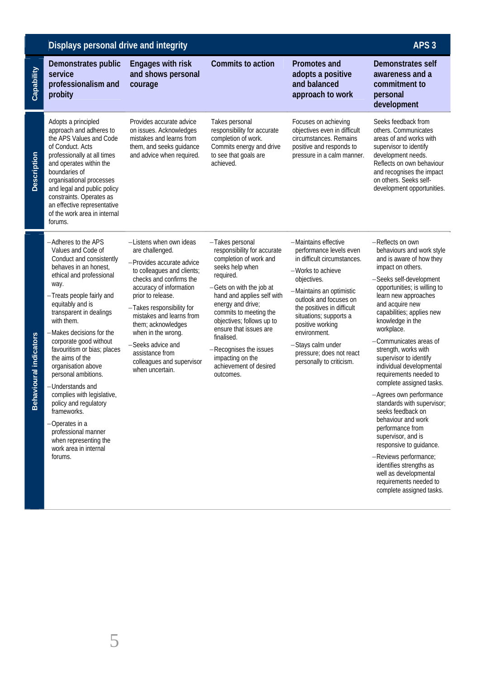|                            | Displays personal drive and integrity                                                                                                                                                                                                                                                                                                                                                                                                                                                                                                                                             |                                                                                                                                                                                                                                                                                                                                                                               |                                                                                                                                                                                                                                                                                                                                                                             | APS <sub>3</sub>                                                                                                                                                                                                                                                                                                                                  |                                                                                                                                                                                                                                                                                                                                                                                                                                                                                                                                                                                                                                                                                                                                               |
|----------------------------|-----------------------------------------------------------------------------------------------------------------------------------------------------------------------------------------------------------------------------------------------------------------------------------------------------------------------------------------------------------------------------------------------------------------------------------------------------------------------------------------------------------------------------------------------------------------------------------|-------------------------------------------------------------------------------------------------------------------------------------------------------------------------------------------------------------------------------------------------------------------------------------------------------------------------------------------------------------------------------|-----------------------------------------------------------------------------------------------------------------------------------------------------------------------------------------------------------------------------------------------------------------------------------------------------------------------------------------------------------------------------|---------------------------------------------------------------------------------------------------------------------------------------------------------------------------------------------------------------------------------------------------------------------------------------------------------------------------------------------------|-----------------------------------------------------------------------------------------------------------------------------------------------------------------------------------------------------------------------------------------------------------------------------------------------------------------------------------------------------------------------------------------------------------------------------------------------------------------------------------------------------------------------------------------------------------------------------------------------------------------------------------------------------------------------------------------------------------------------------------------------|
| Capability                 | Demonstrates public<br>service<br>professionalism and<br>probity                                                                                                                                                                                                                                                                                                                                                                                                                                                                                                                  | <b>Engages with risk</b><br>and shows personal<br>courage                                                                                                                                                                                                                                                                                                                     | Commits to action                                                                                                                                                                                                                                                                                                                                                           | <b>Promotes and</b><br>adopts a positive<br>and balanced<br>approach to work                                                                                                                                                                                                                                                                      | Demonstrates self<br>awareness and a<br>commitment to<br>personal<br>development                                                                                                                                                                                                                                                                                                                                                                                                                                                                                                                                                                                                                                                              |
| Description                | Adopts a principled<br>approach and adheres to<br>the APS Values and Code<br>of Conduct. Acts<br>professionally at all times<br>and operates within the<br>boundaries of<br>organisational processes<br>and legal and public policy<br>constraints. Operates as<br>an effective representative<br>of the work area in internal<br>forums.                                                                                                                                                                                                                                         | Provides accurate advice<br>on issues. Acknowledges<br>mistakes and learns from<br>them, and seeks quidance<br>and advice when required.                                                                                                                                                                                                                                      | Takes personal<br>responsibility for accurate<br>completion of work.<br>Commits energy and drive<br>to see that goals are<br>achieved.                                                                                                                                                                                                                                      | Focuses on achieving<br>objectives even in difficult<br>circumstances. Remains<br>positive and responds to<br>pressure in a calm manner.                                                                                                                                                                                                          | Seeks feedback from<br>others. Communicates<br>areas of and works with<br>supervisor to identify<br>development needs.<br>Reflects on own behaviour<br>and recognises the impact<br>on others. Seeks self-<br>development opportunities.                                                                                                                                                                                                                                                                                                                                                                                                                                                                                                      |
| avioural indicators<br>Beh | -Adheres to the APS<br>Values and Code of<br>Conduct and consistently<br>behaves in an honest,<br>ethical and professional<br>way.<br>-Treats people fairly and<br>equitably and is<br>transparent in dealings<br>with them.<br>-Makes decisions for the<br>corporate good without<br>favouritism or bias; places<br>the aims of the<br>organisation above<br>personal ambitions.<br>-Understands and<br>complies with legislative,<br>policy and regulatory<br>frameworks.<br>-Operates in a<br>professional manner<br>when representing the<br>work area in internal<br>forums. | -Listens when own ideas<br>are challenged.<br>-Provides accurate advice<br>to colleagues and clients;<br>checks and confirms the<br>accuracy of information<br>prior to release.<br>-Takes responsibility for<br>mistakes and learns from<br>them; acknowledges<br>when in the wrong.<br>-Seeks advice and<br>assistance from<br>colleagues and supervisor<br>when uncertain. | -Takes personal<br>responsibility for accurate<br>completion of work and<br>seeks help when<br>required.<br>-Gets on with the job at<br>hand and applies self with<br>energy and drive;<br>commits to meeting the<br>objectives; follows up to<br>ensure that issues are<br>finalised.<br>-Recognises the issues<br>impacting on the<br>achievement of desired<br>outcomes. | -Maintains effective<br>performance levels even<br>in difficult circumstances.<br>-Works to achieve<br>objectives.<br>-Maintains an optimistic<br>outlook and focuses on<br>the positives in difficult<br>situations; supports a<br>positive working<br>environment.<br>-Stays calm under<br>pressure; does not react<br>personally to criticism. | -Reflects on own<br>behaviours and work style<br>and is aware of how they<br>impact on others.<br>-Seeks self-development<br>opportunities; is willing to<br>learn new approaches<br>and acquire new<br>capabilities; applies new<br>knowledge in the<br>workplace.<br>-Communicates areas of<br>strength, works with<br>supervisor to identify<br>individual developmental<br>requirements needed to<br>complete assigned tasks.<br>-Agrees own performance<br>standards with supervisor;<br>seeks feedback on<br>behaviour and work<br>performance from<br>supervisor, and is<br>responsive to guidance.<br>-Reviews performance;<br>identifies strengths as<br>well as developmental<br>requirements needed to<br>complete assigned tasks. |